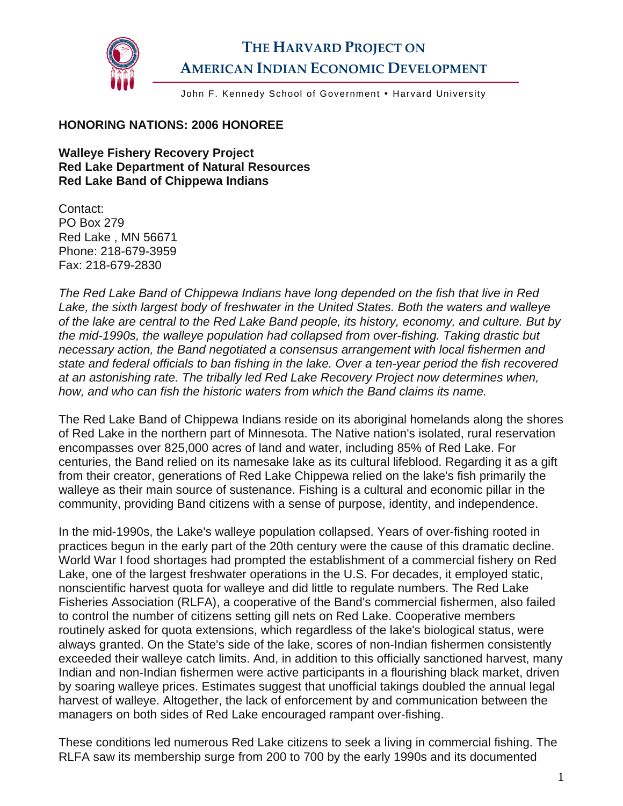

## **THE HARVARD PROJECT ON AMERICAN INDIAN ECONOMIC DEVELOPMENT**

John F. Kennedy School of Government . Harvard University

## **HONORING NATIONS: 2006 HONOREE**

**Walleye Fishery Recovery Project Red Lake Department of Natural Resources Red Lake Band of Chippewa Indians** 

Contact: PO Box 279 Red Lake , MN 56671 Phone: 218-679-3959 Fax: 218-679-2830

*The Red Lake Band of Chippewa Indians have long depended on the fish that live in Red Lake, the sixth largest body of freshwater in the United States. Both the waters and walleye of the lake are central to the Red Lake Band people, its history, economy, and culture. But by the mid-1990s, the walleye population had collapsed from over-fishing. Taking drastic but necessary action, the Band negotiated a consensus arrangement with local fishermen and state and federal officials to ban fishing in the lake. Over a ten-year period the fish recovered at an astonishing rate. The tribally led Red Lake Recovery Project now determines when, how, and who can fish the historic waters from which the Band claims its name.* 

The Red Lake Band of Chippewa Indians reside on its aboriginal homelands along the shores of Red Lake in the northern part of Minnesota. The Native nation's isolated, rural reservation encompasses over 825,000 acres of land and water, including 85% of Red Lake. For centuries, the Band relied on its namesake lake as its cultural lifeblood. Regarding it as a gift from their creator, generations of Red Lake Chippewa relied on the lake's fish primarily the walleye as their main source of sustenance. Fishing is a cultural and economic pillar in the community, providing Band citizens with a sense of purpose, identity, and independence.

In the mid-1990s, the Lake's walleye population collapsed. Years of over-fishing rooted in practices begun in the early part of the 20th century were the cause of this dramatic decline. World War I food shortages had prompted the establishment of a commercial fishery on Red Lake, one of the largest freshwater operations in the U.S. For decades, it employed static, nonscientific harvest quota for walleye and did little to regulate numbers. The Red Lake Fisheries Association (RLFA), a cooperative of the Band's commercial fishermen, also failed to control the number of citizens setting gill nets on Red Lake. Cooperative members routinely asked for quota extensions, which regardless of the lake's biological status, were always granted. On the State's side of the lake, scores of non-Indian fishermen consistently exceeded their walleye catch limits. And, in addition to this officially sanctioned harvest, many Indian and non-Indian fishermen were active participants in a flourishing black market, driven by soaring walleye prices. Estimates suggest that unofficial takings doubled the annual legal harvest of walleye. Altogether, the lack of enforcement by and communication between the managers on both sides of Red Lake encouraged rampant over-fishing.

These conditions led numerous Red Lake citizens to seek a living in commercial fishing. The RLFA saw its membership surge from 200 to 700 by the early 1990s and its documented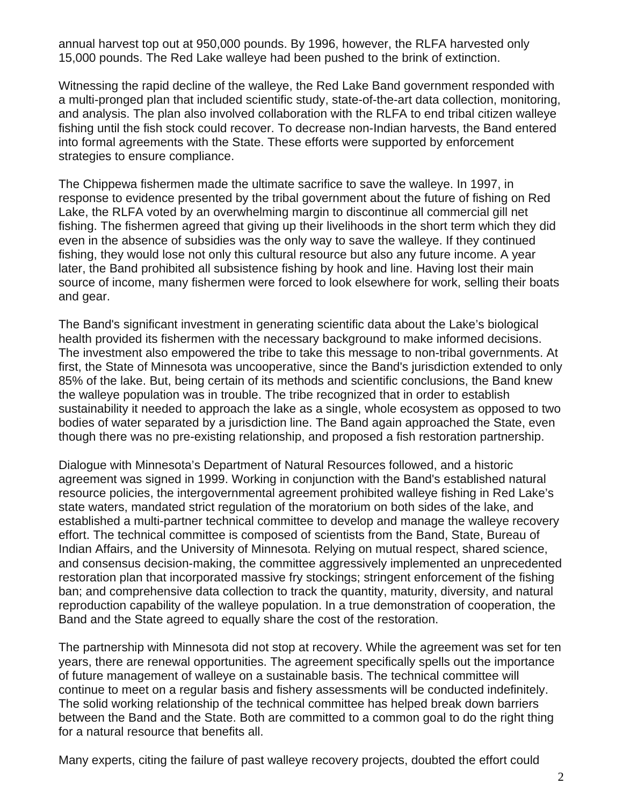annual harvest top out at 950,000 pounds. By 1996, however, the RLFA harvested only 15,000 pounds. The Red Lake walleye had been pushed to the brink of extinction.

Witnessing the rapid decline of the walleye, the Red Lake Band government responded with a multi-pronged plan that included scientific study, state-of-the-art data collection, monitoring, and analysis. The plan also involved collaboration with the RLFA to end tribal citizen walleye fishing until the fish stock could recover. To decrease non-Indian harvests, the Band entered into formal agreements with the State. These efforts were supported by enforcement strategies to ensure compliance.

The Chippewa fishermen made the ultimate sacrifice to save the walleye. In 1997, in response to evidence presented by the tribal government about the future of fishing on Red Lake, the RLFA voted by an overwhelming margin to discontinue all commercial gill net fishing. The fishermen agreed that giving up their livelihoods in the short term which they did even in the absence of subsidies was the only way to save the walleye. If they continued fishing, they would lose not only this cultural resource but also any future income. A year later, the Band prohibited all subsistence fishing by hook and line. Having lost their main source of income, many fishermen were forced to look elsewhere for work, selling their boats and gear.

The Band's significant investment in generating scientific data about the Lake's biological health provided its fishermen with the necessary background to make informed decisions. The investment also empowered the tribe to take this message to non-tribal governments. At first, the State of Minnesota was uncooperative, since the Band's jurisdiction extended to only 85% of the lake. But, being certain of its methods and scientific conclusions, the Band knew the walleye population was in trouble. The tribe recognized that in order to establish sustainability it needed to approach the lake as a single, whole ecosystem as opposed to two bodies of water separated by a jurisdiction line. The Band again approached the State, even though there was no pre-existing relationship, and proposed a fish restoration partnership.

Dialogue with Minnesota's Department of Natural Resources followed, and a historic agreement was signed in 1999. Working in conjunction with the Band's established natural resource policies, the intergovernmental agreement prohibited walleye fishing in Red Lake's state waters, mandated strict regulation of the moratorium on both sides of the lake, and established a multi-partner technical committee to develop and manage the walleye recovery effort. The technical committee is composed of scientists from the Band, State, Bureau of Indian Affairs, and the University of Minnesota. Relying on mutual respect, shared science, and consensus decision-making, the committee aggressively implemented an unprecedented restoration plan that incorporated massive fry stockings; stringent enforcement of the fishing ban; and comprehensive data collection to track the quantity, maturity, diversity, and natural reproduction capability of the walleye population. In a true demonstration of cooperation, the Band and the State agreed to equally share the cost of the restoration.

The partnership with Minnesota did not stop at recovery. While the agreement was set for ten years, there are renewal opportunities. The agreement specifically spells out the importance of future management of walleye on a sustainable basis. The technical committee will continue to meet on a regular basis and fishery assessments will be conducted indefinitely. The solid working relationship of the technical committee has helped break down barriers between the Band and the State. Both are committed to a common goal to do the right thing for a natural resource that benefits all.

Many experts, citing the failure of past walleye recovery projects, doubted the effort could